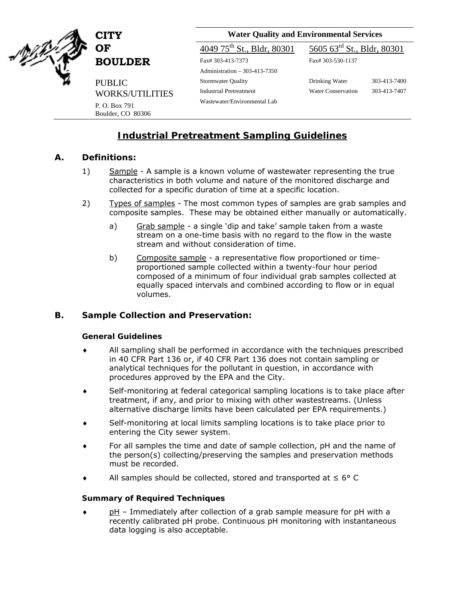

**BOULDER** Fax# 303-413-7373

 PUBLIC WORKS/UTILITIES

**CITY Water Quality and Environmental Services** 

Administration – 303-413-7350 Stormwater Quality Industrial Pretreatment Wastewater/Environmental Lab

P. O. Box 791 Boulder, CO 80306

# **OF**  $4049.75^{\text{th}}$  St., Bldr, 80301  $5605.63^{\text{rd}}$  St., Bldr, 80301

Fax# 303-530-1137

Drinking Water Water Conservation 303-413-7400 303-413-7407

# **Industrial Pretreatment Sampling Guidelines**

#### **A. Definitions:**

- 1) Sample A sample is a known volume of wastewater representing the true characteristics in both volume and nature of the monitored discharge and collected for a specific duration of time at a specific location.
- 2) Types of samples The most common types of samples are grab samples and composite samples. These may be obtained either manually or automatically.
	- a) Grab sample a single 'dip and take' sample taken from a waste stream on a one-time basis with no regard to the flow in the waste stream and without consideration of time.
	- b) Composite sample a representative flow proportioned or timeproportioned sample collected within a twenty-four hour period composed of a minimum of four individual grab samples collected at equally spaced intervals and combined according to flow or in equal volumes.

### **B. Sample Collection and Preservation:**

#### *General Guidelines*

- All sampling shall be performed in accordance with the techniques prescribed in 40 CFR Part 136 or, if 40 CFR Part 136 does not contain sampling or analytical techniques for the pollutant in question, in accordance with procedures approved by the EPA and the City.
- ♦ Self-monitoring at federal categorical sampling locations is to take place after treatment, if any, and prior to mixing with other wastestreams. (Unless alternative discharge limits have been calculated per EPA requirements.)
- Self-monitoring at local limits sampling locations is to take place prior to entering the City sewer system.
- For all samples the time and date of sample collection, pH and the name of the person(s) collecting/preserving the samples and preservation methods must be recorded.
- ♦ All samples should be collected, stored and transported at ≤ 6° C

#### *Summary of Required Techniques*

pH – Immediately after collection of a grab sample measure for pH with a recently calibrated pH probe. Continuous pH monitoring with instantaneous data logging is also acceptable.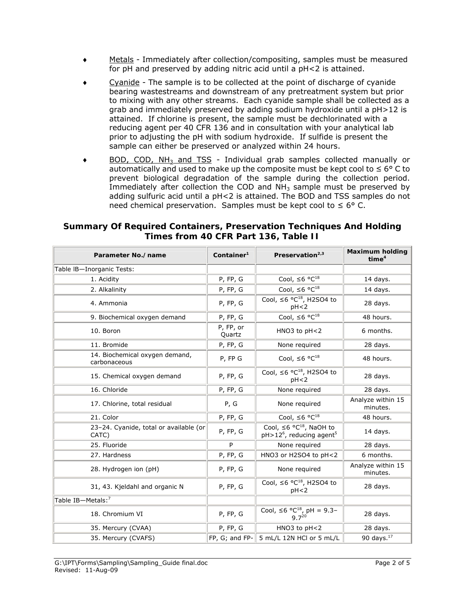- Metals Immediately after collection/compositing, samples must be measured for pH and preserved by adding nitric acid until a pH<2 is attained.
- Cyanide The sample is to be collected at the point of discharge of cyanide bearing wastestreams and downstream of any pretreatment system but prior to mixing with any other streams. Each cyanide sample shall be collected as a grab and immediately preserved by adding sodium hydroxide until a pH>12 is attained. If chlorine is present, the sample must be dechlorinated with a reducing agent per 40 CFR 136 and in consultation with your analytical lab prior to adjusting the pH with sodium hydroxide. If sulfide is present the sample can either be preserved or analyzed within 24 hours.
- ◆ BOD, COD, NH<sub>3</sub> and TSS Individual grab samples collected manually or automatically and used to make up the composite must be kept cool to  $\leq 6^{\circ}$  C to prevent biological degradation of the sample during the collection period. Immediately after collection the COD and  $NH<sub>3</sub>$  sample must be preserved by adding sulfuric acid until a pH<2 is attained. The BOD and TSS samples do not need chemical preservation. Samples must be kept cool to  $\leq 6^{\circ}$  C.

| <b>Summary Of Required Containers, Preservation Techniques And Holding</b> |
|----------------------------------------------------------------------------|
| Times from 40 CFR Part 136, Table II                                       |

| Parameter No./name                              | Container $1$       | Preservation $2,3$                                                                          | <b>Maximum holding</b><br>time <sup>4</sup> |
|-------------------------------------------------|---------------------|---------------------------------------------------------------------------------------------|---------------------------------------------|
| Table IB-Inorganic Tests:                       |                     |                                                                                             |                                             |
| 1. Acidity                                      | P, FP, G            | Cool, $\leq 6 \frac{18}{\sqrt{18}}$                                                         | 14 days.                                    |
| 2. Alkalinity                                   | P, FP, G            | Cool, $\leq 6$ °C <sup>18</sup>                                                             | 14 days.                                    |
| 4. Ammonia                                      | P, FP, G            | Cool, $\leq 6$ °C <sup>18</sup> , H2SO4 to<br>pH < 2                                        | 28 days.                                    |
| 9. Biochemical oxygen demand                    | P, FP, G            | Cool, $\leq 6$ °C <sup>18</sup>                                                             | 48 hours.                                   |
| 10. Boron                                       | P, FP, or<br>Quartz | HNO3 to pH<2                                                                                | 6 months.                                   |
| 11. Bromide                                     | P, FP, G            | None required                                                                               | 28 days.                                    |
| 14. Biochemical oxygen demand,<br>carbonaceous  | P, FP G             | Cool, $\leq 6$ °C <sup>18</sup>                                                             | 48 hours.                                   |
| 15. Chemical oxygen demand                      | P, FP, G            | Cool, $\leq 6$ °C <sup>18</sup> , H2SO4 to<br>pH < 2                                        | 28 days.                                    |
| 16. Chloride                                    | P, FP, G            | None required                                                                               | 28 days.                                    |
| 17. Chlorine, total residual                    | P, G                | None required                                                                               | Analyze within 15<br>minutes.               |
| 21. Color                                       | P, FP, G            | Cool, $\leq 6 \degree \text{C}^{18}$                                                        | 48 hours.                                   |
| 23-24. Cyanide, total or available (or<br>CATC) | P, FP, G            | Cool, $\leq 6 \degree C^{18}$ , NaOH to<br>pH>12 <sup>6</sup> , reducing agent <sup>5</sup> | 14 days.                                    |
| 25. Fluoride                                    | P                   | None required                                                                               | 28 days.                                    |
| 27. Hardness                                    | P, FP, G            | HNO3 or H2SO4 to pH<2                                                                       | 6 months.                                   |
| 28. Hydrogen ion (pH)                           | P, FP, G            | None required                                                                               | Analyze within 15<br>minutes.               |
| 31, 43. Kjeldahl and organic N                  | P, FP, G            | Cool, $\leq 6$ °C <sup>18</sup> , H2SO4 to<br>pH < 2                                        | 28 days.                                    |
| Table IB-Metals: <sup>7</sup>                   |                     |                                                                                             |                                             |
| 18. Chromium VI                                 | P, FP, G            | Cool, $\leq 6 \degree C^{18}$ , pH = 9.3-<br>9.7 <sup>20</sup>                              | 28 days.                                    |
| 35. Mercury (CVAA)                              | P, FP, G            | HNO3 to pH<2                                                                                | 28 days.                                    |
| 35. Mercury (CVAFS)                             | FP, G; and FP-      | 5 mL/L 12N HCl or 5 mL/L                                                                    | 90 days. $17$                               |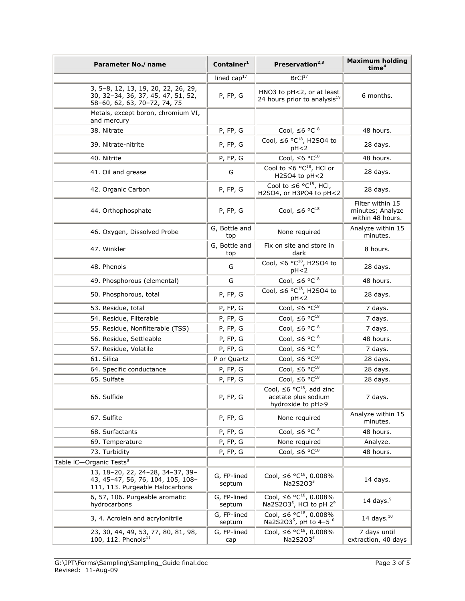| Parameter No./name                                                                                        | Container <sup>1</sup> | Preservation <sup>2,3</sup>                                                                 | <b>Maximum holding</b><br>time <sup>4</sup>              |
|-----------------------------------------------------------------------------------------------------------|------------------------|---------------------------------------------------------------------------------------------|----------------------------------------------------------|
|                                                                                                           | lined $cap17$          | BrCl <sup>17</sup>                                                                          |                                                          |
| 3, 5-8, 12, 13, 19, 20, 22, 26, 29,<br>30, 32-34, 36, 37, 45, 47, 51, 52,<br>58-60, 62, 63, 70-72, 74, 75 | P, FP, G               | HNO3 to pH<2, or at least<br>24 hours prior to analysis <sup>19</sup>                       | 6 months.                                                |
| Metals, except boron, chromium VI,<br>and mercury                                                         |                        |                                                                                             |                                                          |
| 38. Nitrate                                                                                               | P, FP, G               | Cool, $\leq 6$ °C <sup>18</sup>                                                             | 48 hours.                                                |
| 39. Nitrate-nitrite                                                                                       | P, FP, G               | Cool, $\leq 6$ °C <sup>18</sup> , H2SO4 to<br>pH < 2                                        | 28 days.                                                 |
| 40. Nitrite                                                                                               | P, FP, G               | Cool, $\leq 6$ °C <sup>18</sup>                                                             | 48 hours.                                                |
| 41. Oil and grease                                                                                        | G                      | Cool to $\leq 6$ °C <sup>18</sup> , HCl or<br>H2SO4 to pH<2                                 | 28 days.                                                 |
| 42. Organic Carbon                                                                                        | P, FP, G               | Cool to $\leq 6$ °C <sup>18</sup> , HCl,<br>H2SO4, or H3PO4 to pH<2                         | 28 days.                                                 |
| 44. Orthophosphate                                                                                        | P, FP, G               | Cool, $\leq 6$ °C <sup>18</sup>                                                             | Filter within 15<br>minutes; Analyze<br>within 48 hours. |
| 46. Oxygen, Dissolved Probe                                                                               | G, Bottle and<br>top   | None required                                                                               | Analyze within 15<br>minutes.                            |
| 47. Winkler                                                                                               | G, Bottle and<br>top   | Fix on site and store in<br>dark                                                            | 8 hours.                                                 |
| 48. Phenols                                                                                               | G                      | Cool, $\leq 6$ °C <sup>18</sup> , H2SO4 to<br>pH < 2                                        | 28 days.                                                 |
| 49. Phosphorous (elemental)                                                                               | G                      | Cool, $\leq 6$ °C <sup>18</sup>                                                             | 48 hours.                                                |
| 50. Phosphorous, total                                                                                    | P, FP, G               | Cool, $\leq 6$ °C <sup>18</sup> , H2SO4 to<br>pH < 2                                        | 28 days.                                                 |
| 53. Residue, total                                                                                        | P, FP, G               | Cool, $\leq 6$ °C <sup>18</sup>                                                             | 7 days.                                                  |
| 54. Residue, Filterable                                                                                   | P, FP, G               | Cool, $\leq 6$ °C <sup>18</sup>                                                             | 7 days.                                                  |
| 55. Residue, Nonfilterable (TSS)                                                                          | P, FP, G               | Cool, $\leq 6$ °C <sup>18</sup>                                                             | 7 days.                                                  |
| 56. Residue, Settleable                                                                                   | P, FP, G               | Cool, $\leq 6$ °C <sup>18</sup>                                                             | 48 hours.                                                |
| 57. Residue, Volatile                                                                                     | P, FP, G               | Cool, $\leq 6$ °C <sup>18</sup>                                                             | 7 days.                                                  |
| 61. Silica                                                                                                | P or Quartz            | Cool, $\leq 6 \frac{18}{\sqrt{18}}$                                                         | 28 days.                                                 |
| 64. Specific conductance                                                                                  | P, FP, G               | Cool, $\leq 6$ °C <sup>18</sup>                                                             | 28 days.                                                 |
| 65. Sulfate                                                                                               | P, FP, G               | Cool, $\leq 6$ °C <sup>18</sup>                                                             | 28 days.                                                 |
| 66. Sulfide                                                                                               | P, FP, G               | Cool, $\leq 6$ °C <sup>18</sup> , add zinc<br>acetate plus sodium<br>hydroxide to pH>9      | 7 days.                                                  |
| 67. Sulfite                                                                                               | P, FP, G               | None required                                                                               | Analyze within 15<br>minutes.                            |
| 68. Surfactants                                                                                           | P, FP, G               | Cool, $\leq 6 \degree \overline{C^{18}}$                                                    | 48 hours.                                                |
| 69. Temperature                                                                                           | P, FP, G               | None required                                                                               | Analyze.                                                 |
| 73. Turbidity                                                                                             | P, FP, G               | Cool, $\leq 6 \degree \text{C}^{18}$                                                        | 48 hours.                                                |
| Table IC-Organic Tests <sup>8</sup>                                                                       |                        |                                                                                             |                                                          |
| 13, 18-20, 22, 24-28, 34-37, 39-<br>43, 45-47, 56, 76, 104, 105, 108-<br>111, 113. Purgeable Halocarbons  | G, FP-lined<br>septum  | Cool, $\leq 6$ °C <sup>18</sup> , 0.008%<br>Na2S2O35                                        | 14 days.                                                 |
| 6, 57, 106. Purgeable aromatic<br>hydrocarbons                                                            | G, FP-lined<br>septum  | Cool, $\leq 6$ °C <sup>18</sup> , 0.008%<br>Na2S2O3 <sup>5</sup> , HCl to pH 2 <sup>9</sup> | 14 days. $9$                                             |
| 3, 4. Acrolein and acrylonitrile                                                                          | G, FP-lined<br>septum  | Cool, $\leq 6$ °C <sup>18</sup> , 0.008%<br>Na2S2O3 <sup>5</sup> , pH to 4-5 <sup>10</sup>  | 14 days. $10$                                            |
| 23, 30, 44, 49, 53, 77, 80, 81, 98,<br>100, 112. Phenols <sup>11</sup>                                    | G, FP-lined<br>cap     | Cool, $\leq 6$ °C <sup>18</sup> , 0.008%<br>Na2S2O35                                        | 7 days until<br>extraction, 40 days                      |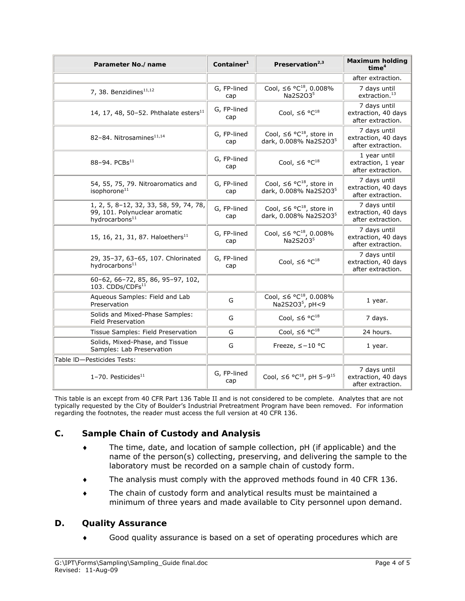| Parameter No./name                                                                                    | Container $1$      | Preservation $2,3$                                                  | <b>Maximum holding</b><br>time <sup>4</sup>              |
|-------------------------------------------------------------------------------------------------------|--------------------|---------------------------------------------------------------------|----------------------------------------------------------|
|                                                                                                       |                    |                                                                     | after extraction.                                        |
| 7, 38. Benzidines <sup>11,12</sup>                                                                    | G, FP-lined<br>cap | Cool, $\leq 6$ °C <sup>18</sup> , 0.008%<br>Na2S2O35                | 7 days until<br>extraction. $13$                         |
| 14, 17, 48, 50-52. Phthalate esters <sup>11</sup>                                                     | G, FP-lined<br>cap | Cool, $\leq 6$ °C <sup>18</sup>                                     | 7 days until<br>extraction, 40 days<br>after extraction. |
| 82-84. Nitrosamines <sup>11,14</sup>                                                                  | G, FP-lined<br>cap | Cool, $\leq 6$ °C <sup>18</sup> , store in<br>dark, 0.008% Na2S2O35 | 7 days until<br>extraction, 40 days<br>after extraction. |
| 88-94. $PCBs^{11}$                                                                                    | G, FP-lined<br>cap | Cool, $\leq 6$ °C <sup>18</sup>                                     | 1 year until<br>extraction, 1 year<br>after extraction.  |
| 54, 55, 75, 79. Nitroaromatics and<br>isophorone <sup>11</sup>                                        | G, FP-lined<br>cap | Cool, $\leq 6$ °C <sup>18</sup> , store in<br>dark, 0.008% Na2S2O35 | 7 days until<br>extraction, 40 days<br>after extraction. |
| 1, 2, 5, 8-12, 32, 33, 58, 59, 74, 78,<br>99, 101. Polynuclear aromatic<br>hydrocarbons <sup>11</sup> | G, FP-lined<br>cap | Cool, $\leq 6$ °C <sup>18</sup> , store in<br>dark, 0.008% Na2S2O35 | 7 days until<br>extraction, 40 days<br>after extraction. |
| 15, 16, 21, 31, 87. Haloethers <sup>11</sup>                                                          | G, FP-lined<br>cap | Cool, $\leq 6$ °C <sup>18</sup> , 0.008%<br>Na2S2O35                | 7 days until<br>extraction, 40 days<br>after extraction. |
| 29, 35-37, 63-65, 107. Chlorinated<br>hydrocarbons <sup>11</sup>                                      | G, FP-lined<br>cap | Cool, $\leq 6$ °C <sup>18</sup>                                     | 7 days until<br>extraction, 40 days<br>after extraction. |
| 60-62, 66-72, 85, 86, 95-97, 102,<br>103. CDDs/CDFs $^{11}$                                           |                    |                                                                     |                                                          |
| Aqueous Samples: Field and Lab<br>Preservation                                                        | G                  | Cool, ≤6 °C <sup>18</sup> , 0.008%<br>Na2S2O3 <sup>5</sup> , pH<9   | 1 year.                                                  |
| Solids and Mixed-Phase Samples:<br>Field Preservation                                                 | G                  | Cool, $\leq 6$ °C <sup>18</sup>                                     | 7 days.                                                  |
| Tissue Samples: Field Preservation                                                                    | G                  | Cool, $\leq 6$ °C <sup>18</sup>                                     | 24 hours.                                                |
| Solids, Mixed-Phase, and Tissue<br>Samples: Lab Preservation                                          | G                  | Freeze, $\le -10$ °C                                                | 1 year.                                                  |
| Table ID-Pesticides Tests:                                                                            |                    |                                                                     |                                                          |
| 1-70. Pesticides $^{11}$                                                                              | G, FP-lined<br>cap | Cool, $\leq 6$ °C <sup>18</sup> , pH 5-9 <sup>15</sup>              | 7 days until<br>extraction, 40 days<br>after extraction. |

This table is an except from 40 CFR Part 136 Table II and is not considered to be complete. Analytes that are not typically requested by the City of Boulder's Industrial Pretreatment Program have been removed. For information regarding the footnotes, the reader must access the full version at 40 CFR 136.

## **C. Sample Chain of Custody and Analysis**

- ♦ The time, date, and location of sample collection, pH (if applicable) and the name of the person(s) collecting, preserving, and delivering the sample to the laboratory must be recorded on a sample chain of custody form.
- ♦ The analysis must comply with the approved methods found in 40 CFR 136.
- ♦ The chain of custody form and analytical results must be maintained a minimum of three years and made available to City personnel upon demand.

## **D. Quality Assurance**

♦ Good quality assurance is based on a set of operating procedures which are